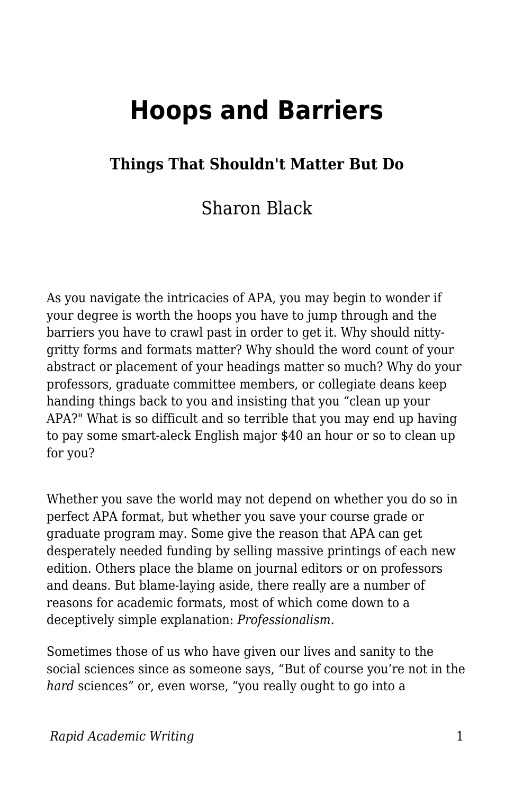# **Hoops and Barriers**

## **Things That Shouldn't Matter But Do**

# Sharon Black

As you navigate the intricacies of APA, you may begin to wonder if your degree is worth the hoops you have to jump through and the barriers you have to crawl past in order to get it. Why should nittygritty forms and formats matter? Why should the word count of your abstract or placement of your headings matter so much? Why do your professors, graduate committee members, or collegiate deans keep handing things back to you and insisting that you "clean up your APA?" What is so difficult and so terrible that you may end up having to pay some smart-aleck English major \$40 an hour or so to clean up for you?

Whether you save the world may not depend on whether you do so in perfect APA format, but whether you save your course grade or graduate program may. Some give the reason that APA can get desperately needed funding by selling massive printings of each new edition. Others place the blame on journal editors or on professors and deans. But blame-laying aside, there really are a number of reasons for academic formats, most of which come down to a deceptively simple explanation: *Professionalism.*

Sometimes those of us who have given our lives and sanity to the social sciences since as someone says, "But of course you're not in the *hard* sciences" or, even worse, "you really ought to go into a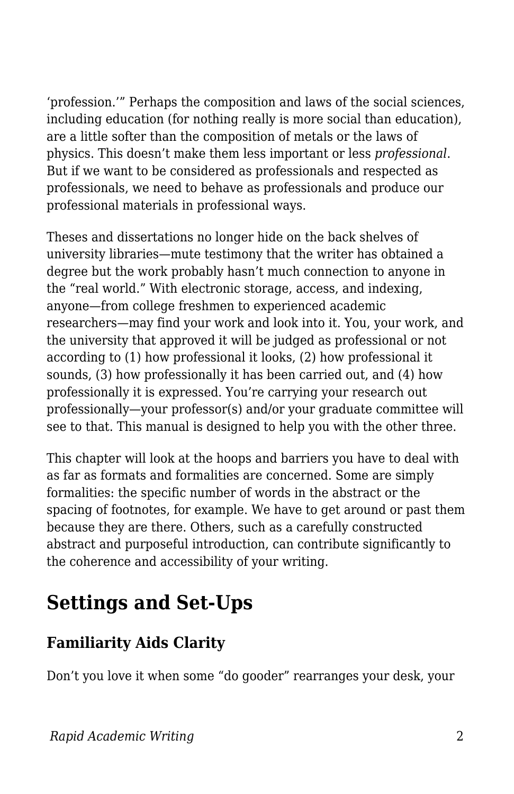'profession.'" Perhaps the composition and laws of the social sciences, including education (for nothing really is more social than education), are a little softer than the composition of metals or the laws of physics. This doesn't make them less important or less *professional*. But if we want to be considered as professionals and respected as professionals, we need to behave as professionals and produce our professional materials in professional ways.

Theses and dissertations no longer hide on the back shelves of university libraries—mute testimony that the writer has obtained a degree but the work probably hasn't much connection to anyone in the "real world." With electronic storage, access, and indexing, anyone—from college freshmen to experienced academic researchers—may find your work and look into it. You, your work, and the university that approved it will be judged as professional or not according to (1) how professional it looks, (2) how professional it sounds, (3) how professionally it has been carried out, and (4) how professionally it is expressed. You're carrying your research out professionally—your professor(s) and/or your graduate committee will see to that. This manual is designed to help you with the other three.

This chapter will look at the hoops and barriers you have to deal with as far as formats and formalities are concerned. Some are simply formalities: the specific number of words in the abstract or the spacing of footnotes, for example. We have to get around or past them because they are there. Others, such as a carefully constructed abstract and purposeful introduction, can contribute significantly to the coherence and accessibility of your writing.

# **Settings and Set-Ups**

# **Familiarity Aids Clarity**

Don't you love it when some "do gooder" rearranges your desk, your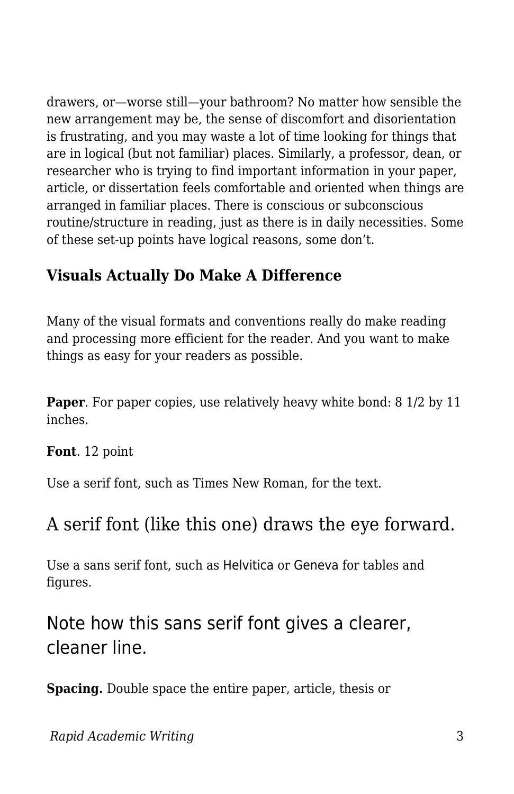drawers, or—worse still—your bathroom? No matter how sensible the new arrangement may be, the sense of discomfort and disorientation is frustrating, and you may waste a lot of time looking for things that are in logical (but not familiar) places. Similarly, a professor, dean, or researcher who is trying to find important information in your paper, article, or dissertation feels comfortable and oriented when things are arranged in familiar places. There is conscious or subconscious routine/structure in reading, just as there is in daily necessities. Some of these set-up points have logical reasons, some don't.

## **Visuals Actually Do Make A Difference**

Many of the visual formats and conventions really do make reading and processing more efficient for the reader. And you want to make things as easy for your readers as possible.

**Paper**. For paper copies, use relatively heavy white bond: 8 1/2 by 11 inches.

**Font**. 12 point

Use a serif font, such as Times New Roman, for the text.

# A serif font (like this one) draws the eye forward.

Use a sans serif font, such as Helvitica or Geneva for tables and figures.

# Note how this sans serif font gives a clearer, cleaner line.

**Spacing.** Double space the entire paper, article, thesis or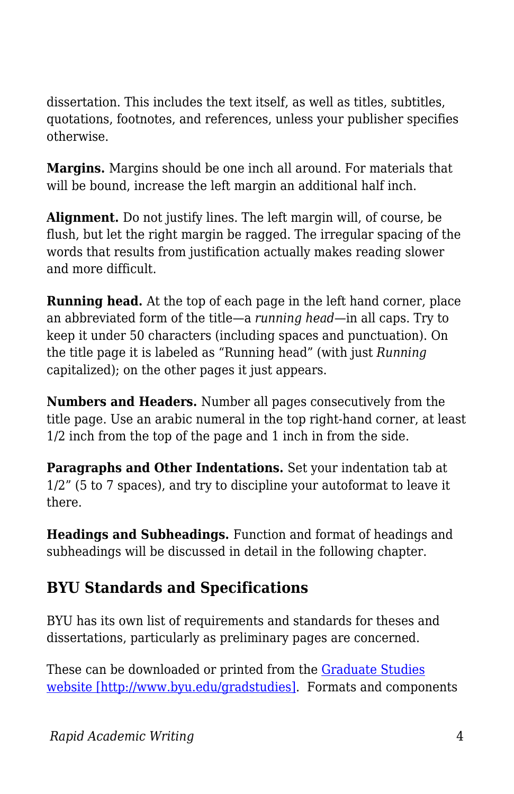dissertation. This includes the text itself, as well as titles, subtitles, quotations, footnotes, and references, unless your publisher specifies otherwise.

**Margins.** Margins should be one inch all around. For materials that will be bound, increase the left margin an additional half inch.

**Alignment.** Do not justify lines. The left margin will, of course, be flush, but let the right margin be ragged. The irregular spacing of the words that results from justification actually makes reading slower and more difficult.

**Running head.** At the top of each page in the left hand corner, place an abbreviated form of the title—a *running head—*in all caps. Try to keep it under 50 characters (including spaces and punctuation). On the title page it is labeled as "Running head" (with just *Running* capitalized); on the other pages it just appears.

**Numbers and Headers.** Number all pages consecutively from the title page. Use an arabic numeral in the top right-hand corner, at least 1/2 inch from the top of the page and 1 inch in from the side.

**Paragraphs and Other Indentations.** Set your indentation tab at 1/2" (5 to 7 spaces), and try to discipline your autoformat to leave it there.

**Headings and Subheadings.** Function and format of headings and subheadings will be discussed in detail in the following chapter.

### **BYU Standards and Specifications**

BYU has its own list of requirements and standards for theses and dissertations, particularly as preliminary pages are concerned.

These can be downloaded or printed from the [Graduate Studies](http://www.byu.edu/gradstudies) [website \[http://www.byu.edu/gradstudies\]](http://www.byu.edu/gradstudies). Formats and components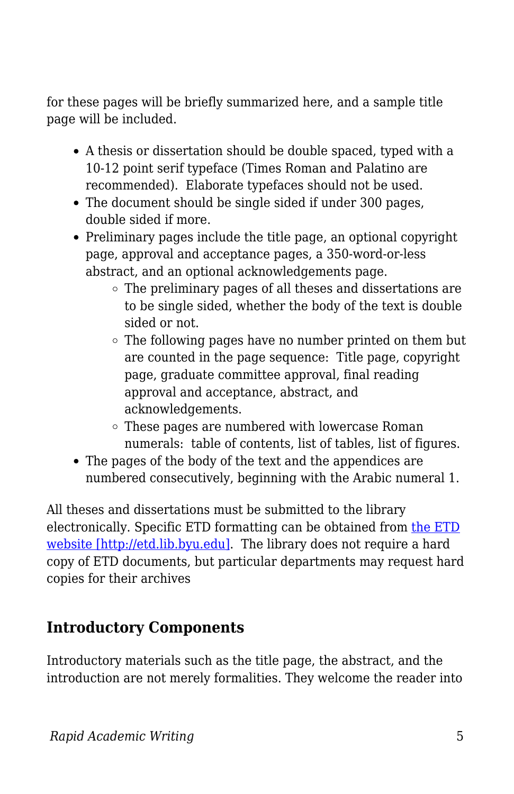for these pages will be briefly summarized here, and a sample title page will be included.

- A thesis or dissertation should be double spaced, typed with a 10-12 point serif typeface (Times Roman and Palatino are recommended). Elaborate typefaces should not be used.
- The document should be single sided if under 300 pages, double sided if more.
- Preliminary pages include the title page, an optional copyright page, approval and acceptance pages, a 350-word-or-less abstract, and an optional acknowledgements page.
	- The preliminary pages of all theses and dissertations are to be single sided, whether the body of the text is double sided or not.
	- The following pages have no number printed on them but are counted in the page sequence: Title page, copyright page, graduate committee approval, final reading approval and acceptance, abstract, and acknowledgements.
	- These pages are numbered with lowercase Roman numerals: table of contents, list of tables, list of figures.
- The pages of the body of the text and the appendices are numbered consecutively, beginning with the Arabic numeral 1.

All theses and dissertations must be submitted to the library electronically. Specific ETD formatting can be obtained from [the ETD](http://etd.lib.byu.edu) [website \[http://etd.lib.byu.edu\]](http://etd.lib.byu.edu). The library does not require a hard copy of ETD documents, but particular departments may request hard copies for their archives

# **Introductory Components**

Introductory materials such as the title page, the abstract, and the introduction are not merely formalities. They welcome the reader into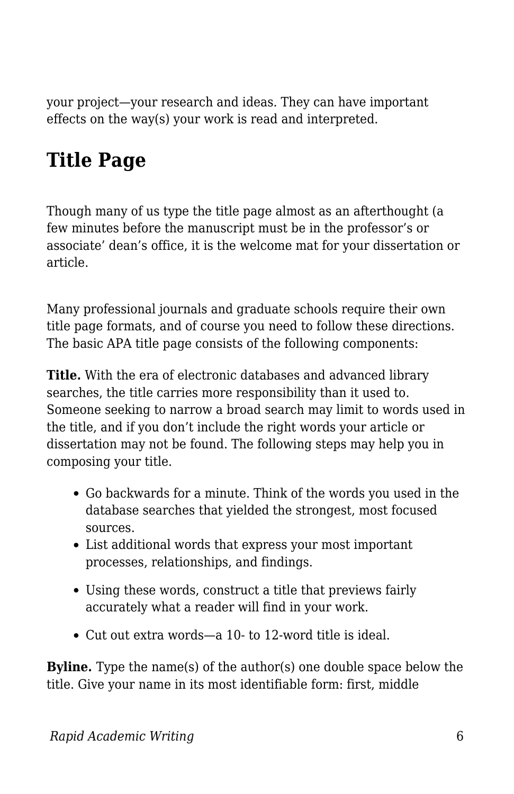your project—your research and ideas. They can have important effects on the way(s) your work is read and interpreted.

# **Title Page**

Though many of us type the title page almost as an afterthought (a few minutes before the manuscript must be in the professor's or associate' dean's office, it is the welcome mat for your dissertation or article.

Many professional journals and graduate schools require their own title page formats, and of course you need to follow these directions. The basic APA title page consists of the following components:

**Title.** With the era of electronic databases and advanced library searches, the title carries more responsibility than it used to. Someone seeking to narrow a broad search may limit to words used in the title, and if you don't include the right words your article or dissertation may not be found. The following steps may help you in composing your title.

- Go backwards for a minute. Think of the words you used in the database searches that yielded the strongest, most focused sources.
- List additional words that express your most important processes, relationships, and findings.
- Using these words, construct a title that previews fairly accurately what a reader will find in your work.
- Cut out extra words—a 10- to 12-word title is ideal.

**Byline.** Type the name(s) of the author(s) one double space below the title. Give your name in its most identifiable form: first, middle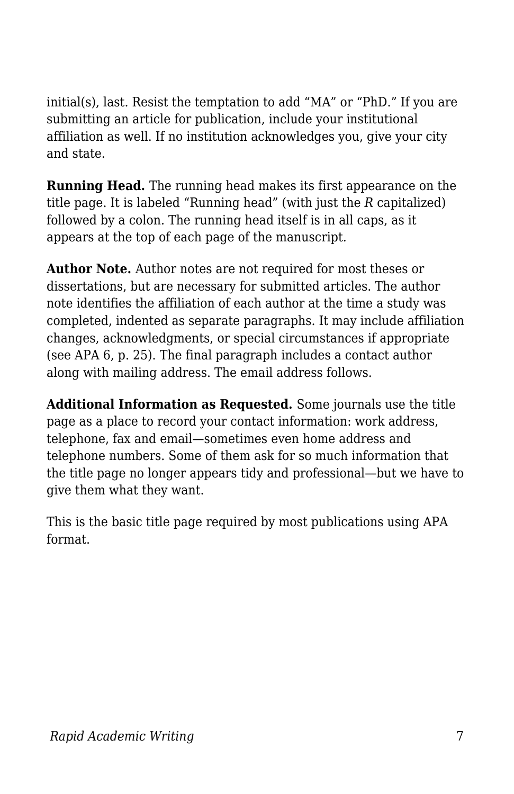initial(s), last. Resist the temptation to add "MA" or "PhD." If you are submitting an article for publication, include your institutional affiliation as well. If no institution acknowledges you, give your city and state.

**Running Head.** The running head makes its first appearance on the title page. It is labeled "Running head" (with just the *R* capitalized) followed by a colon. The running head itself is in all caps, as it appears at the top of each page of the manuscript.

**Author Note.** Author notes are not required for most theses or dissertations, but are necessary for submitted articles. The author note identifies the affiliation of each author at the time a study was completed, indented as separate paragraphs. It may include affiliation changes, acknowledgments, or special circumstances if appropriate (see APA 6, p. 25). The final paragraph includes a contact author along with mailing address. The email address follows.

**Additional Information as Requested.** Some journals use the title page as a place to record your contact information: work address, telephone, fax and email—sometimes even home address and telephone numbers. Some of them ask for so much information that the title page no longer appears tidy and professional—but we have to give them what they want.

This is the basic title page required by most publications using APA format.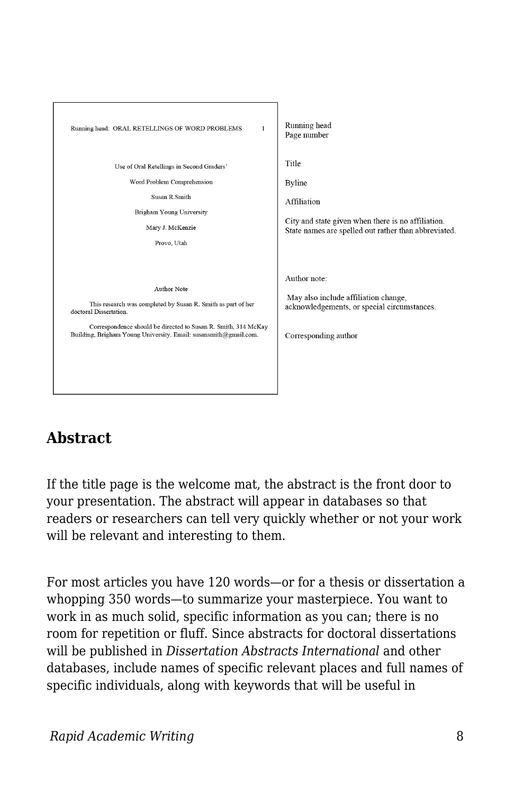

# **Abstract**

If the title page is the welcome mat, the abstract is the front door to your presentation. The abstract will appear in databases so that readers or researchers can tell very quickly whether or not your work will be relevant and interesting to them.

For most articles you have 120 words—or for a thesis or dissertation a whopping 350 words—to summarize your masterpiece. You want to work in as much solid, specific information as you can; there is no room for repetition or fluff. Since abstracts for doctoral dissertations will be published in *Dissertation Abstracts International* and other databases, include names of specific relevant places and full names of specific individuals, along with keywords that will be useful in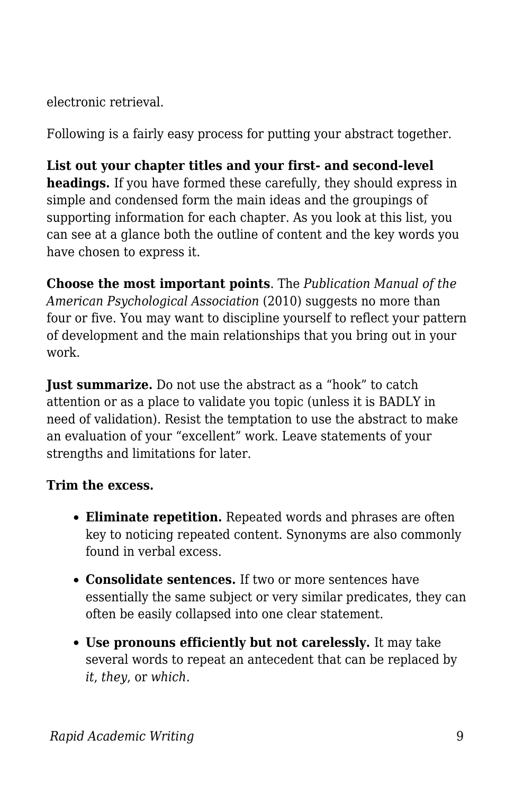electronic retrieval.

Following is a fairly easy process for putting your abstract together.

**List out your chapter titles and your first- and second-level headings.** If you have formed these carefully, they should express in simple and condensed form the main ideas and the groupings of supporting information for each chapter. As you look at this list, you can see at a glance both the outline of content and the key words you have chosen to express it.

**Choose the most important points**. The *Publication Manual of the American Psychological Association* (2010) suggests no more than four or five. You may want to discipline yourself to reflect your pattern of development and the main relationships that you bring out in your work.

**Just summarize.** Do not use the abstract as a "hook" to catch attention or as a place to validate you topic (unless it is BADLY in need of validation). Resist the temptation to use the abstract to make an evaluation of your "excellent" work. Leave statements of your strengths and limitations for later.

#### **Trim the excess.**

- **Eliminate repetition.** Repeated words and phrases are often key to noticing repeated content. Synonyms are also commonly found in verbal excess.
- **Consolidate sentences.** If two or more sentences have essentially the same subject or very similar predicates, they can often be easily collapsed into one clear statement.
- **Use pronouns efficiently but not carelessly.** It may take several words to repeat an antecedent that can be replaced by *it*, *they*, or *which*.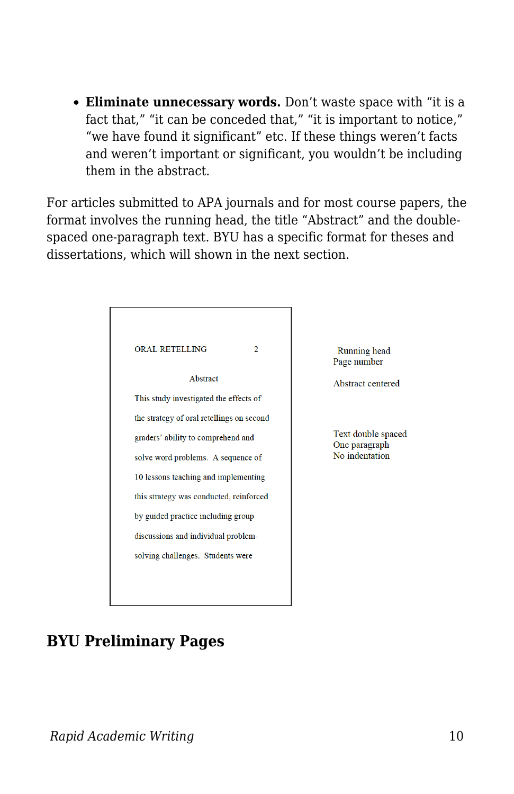**Eliminate unnecessary words.** Don't waste space with "it is a fact that," "it can be conceded that," "it is important to notice," "we have found it significant" etc. If these things weren't facts and weren't important or significant, you wouldn't be including them in the abstract.

For articles submitted to APA journals and for most course papers, the format involves the running head, the title "Abstract" and the doublespaced one-paragraph text. BYU has a specific format for theses and dissertations, which will shown in the next section.

| <b>ORAL RETELLING</b>                     | 2 |
|-------------------------------------------|---|
| Abstract                                  |   |
| This study investigated the effects of    |   |
| the strategy of oral retellings on second |   |
| graders' ability to comprehend and        |   |
| solve word problems. A sequence of        |   |
| 10 lessons teaching and implementing      |   |
| this strategy was conducted, reinforced   |   |
| by guided practice including group        |   |
| discussions and individual problem-       |   |
| solving challenges. Students were         |   |
|                                           |   |

Running head Page number

Abstract centered

Text double spaced One paragraph No indentation

### **BYU Preliminary Pages**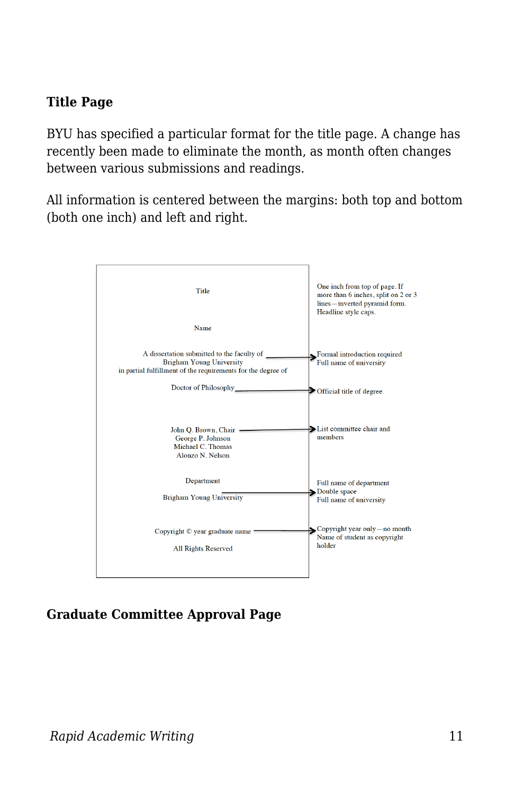#### **Title Page**

BYU has specified a particular format for the title page. A change has recently been made to eliminate the month, as month often changes between various submissions and readings.

All information is centered between the margins: both top and bottom (both one inch) and left and right.



#### **Graduate Committee Approval Page**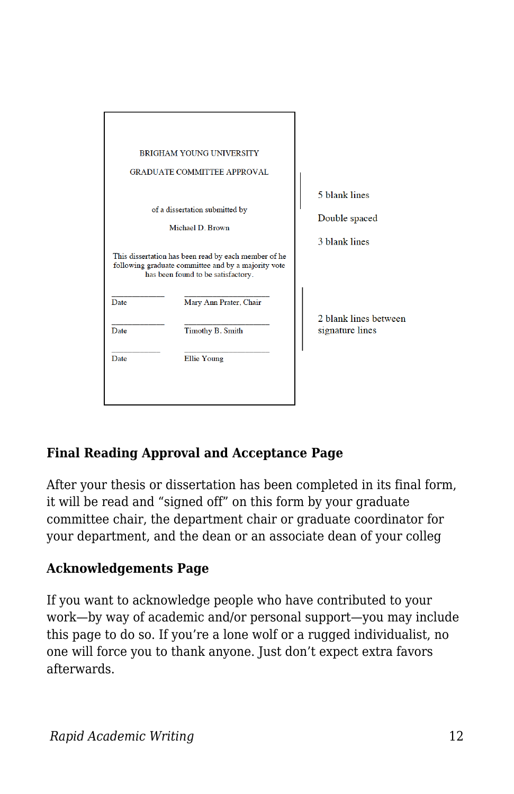|      | <b>BRIGHAM YOUNG UNIVERSITY</b><br><b>GRADUATE COMMITTEE APPROVAL</b>                                                                                                       |                                                 |
|------|-----------------------------------------------------------------------------------------------------------------------------------------------------------------------------|-------------------------------------------------|
|      | of a dissertation submitted by<br>Michael D. Brown                                                                                                                          | 5 blank lines<br>Double spaced<br>3 blank lines |
| Date | This dissertation has been read by each member of he<br>following graduate committee and by a majority vote<br>has been found to be satisfactory.<br>Mary Ann Prater, Chair |                                                 |
| Date | Timothy B. Smith                                                                                                                                                            | 2 blank lines between<br>signature lines        |
| Date | Ellie Young                                                                                                                                                                 |                                                 |

#### **Final Reading Approval and Acceptance Page**

After your thesis or dissertation has been completed in its final form, it will be read and "signed off" on this form by your graduate committee chair, the department chair or graduate coordinator for your department, and the dean or an associate dean of your colleg

#### **Acknowledgements Page**

If you want to acknowledge people who have contributed to your work—by way of academic and/or personal support—you may include this page to do so. If you're a lone wolf or a rugged individualist, no one will force you to thank anyone. Just don't expect extra favors afterwards.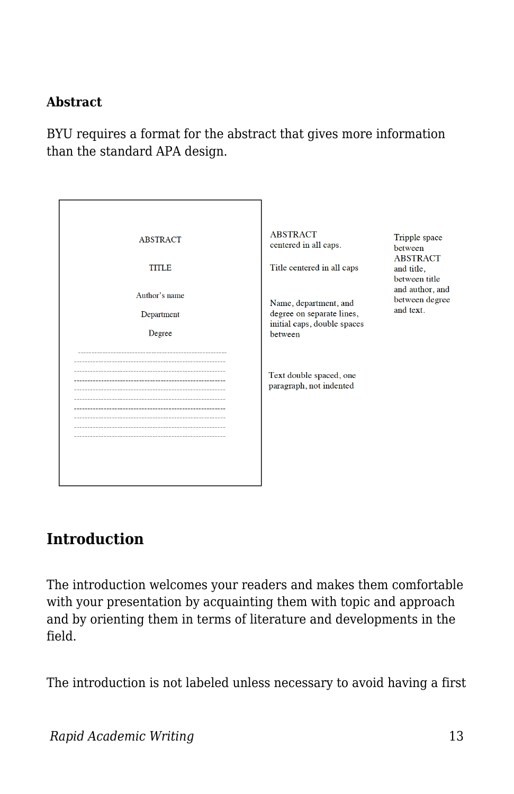#### **Abstract**

BYU requires a format for the abstract that gives more information than the standard APA design.

| <b>ABSTRACT</b><br><b>TITLE</b><br>Author's name<br>Department<br>Degree | <b>ABSTRACT</b><br>centered in all caps.<br>Title centered in all caps<br>Name, department, and<br>degree on separate lines,<br>initial caps, double spaces<br>between<br>Text double spaced, one<br>paragraph, not indented | Tripple space<br>between<br><b>ABSTRACT</b><br>and title,<br>between title<br>and author, and<br>between degree<br>and text. |
|--------------------------------------------------------------------------|------------------------------------------------------------------------------------------------------------------------------------------------------------------------------------------------------------------------------|------------------------------------------------------------------------------------------------------------------------------|
|                                                                          |                                                                                                                                                                                                                              |                                                                                                                              |

#### **Introduction**

The introduction welcomes your readers and makes them comfortable with your presentation by acquainting them with topic and approach and by orienting them in terms of literature and developments in the field.

The introduction is not labeled unless necessary to avoid having a first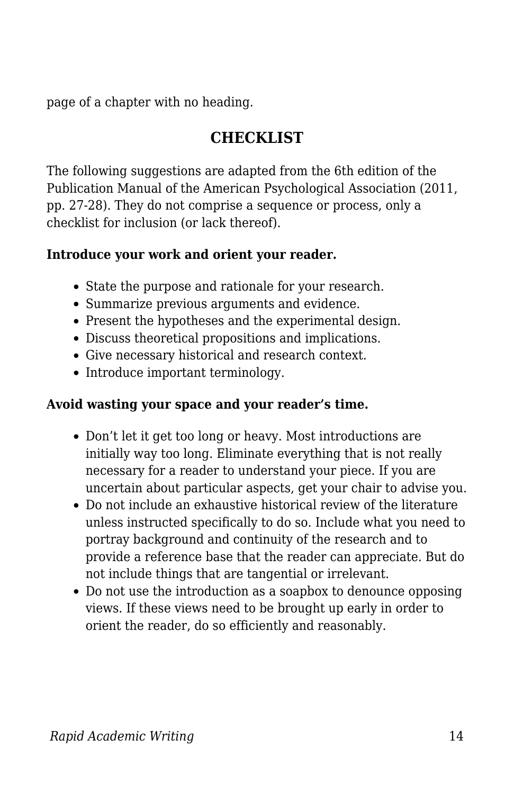page of a chapter with no heading.

### **CHECKLIST**

The following suggestions are adapted from the 6th edition of the Publication Manual of the American Psychological Association (2011, pp. 27-28). They do not comprise a sequence or process, only a checklist for inclusion (or lack thereof).

#### **Introduce your work and orient your reader.**

- State the purpose and rationale for your research.
- Summarize previous arguments and evidence.
- Present the hypotheses and the experimental design.
- Discuss theoretical propositions and implications.
- Give necessary historical and research context.
- Introduce important terminology.

#### **Avoid wasting your space and your reader's time.**

- Don't let it get too long or heavy. Most introductions are initially way too long. Eliminate everything that is not really necessary for a reader to understand your piece. If you are uncertain about particular aspects, get your chair to advise you.
- Do not include an exhaustive historical review of the literature unless instructed specifically to do so. Include what you need to portray background and continuity of the research and to provide a reference base that the reader can appreciate. But do not include things that are tangential or irrelevant.
- Do not use the introduction as a soapbox to denounce opposing views. If these views need to be brought up early in order to orient the reader, do so efficiently and reasonably.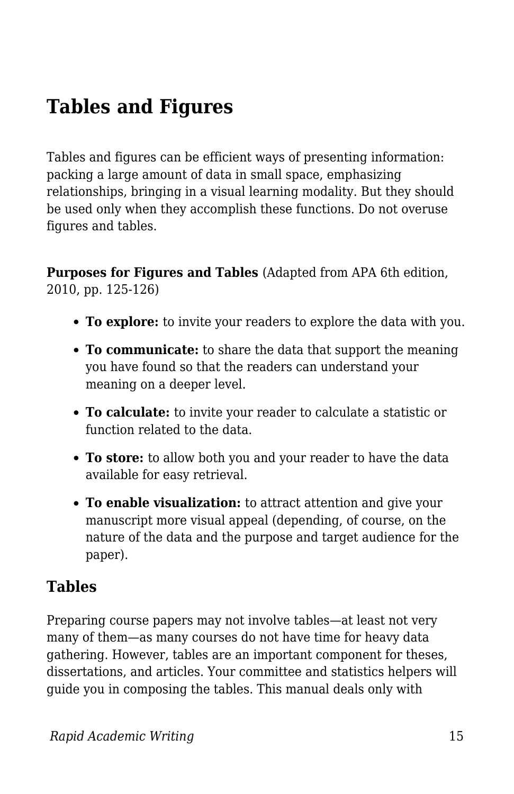# **Tables and Figures**

Tables and figures can be efficient ways of presenting information: packing a large amount of data in small space, emphasizing relationships, bringing in a visual learning modality. But they should be used only when they accomplish these functions. Do not overuse figures and tables.

**Purposes for Figures and Tables** (Adapted from APA 6th edition, 2010, pp. 125-126)

- **To explore:** to invite your readers to explore the data with you.
- **To communicate:** to share the data that support the meaning you have found so that the readers can understand your meaning on a deeper level.
- **To calculate:** to invite your reader to calculate a statistic or function related to the data.
- **To store:** to allow both you and your reader to have the data available for easy retrieval.
- **To enable visualization:** to attract attention and give your manuscript more visual appeal (depending, of course, on the nature of the data and the purpose and target audience for the paper).

#### **Tables**

Preparing course papers may not involve tables—at least not very many of them—as many courses do not have time for heavy data gathering. However, tables are an important component for theses, dissertations, and articles. Your committee and statistics helpers will guide you in composing the tables. This manual deals only with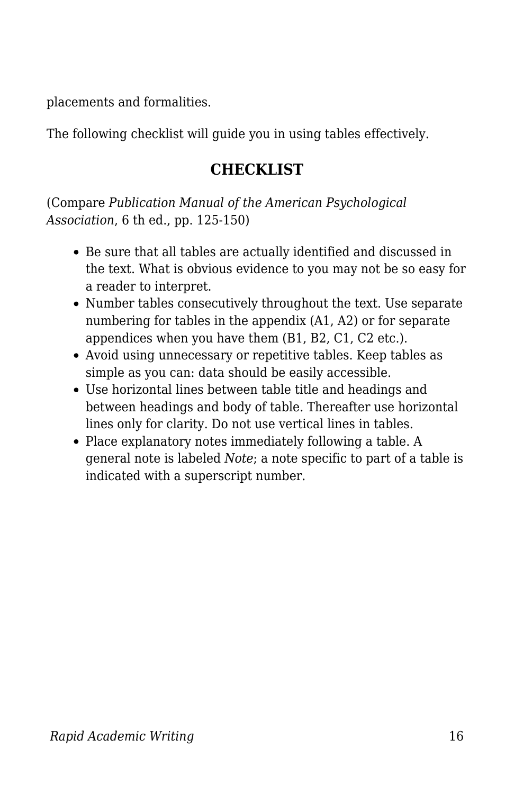placements and formalities.

The following checklist will guide you in using tables effectively.

### **CHECKLIST**

(Compare *Publication Manual of the American Psychological Association*, 6 th ed., pp. 125-150)

- Be sure that all tables are actually identified and discussed in the text. What is obvious evidence to you may not be so easy for a reader to interpret.
- Number tables consecutively throughout the text. Use separate numbering for tables in the appendix (A1, A2) or for separate appendices when you have them (B1, B2, C1, C2 etc.).
- Avoid using unnecessary or repetitive tables. Keep tables as simple as you can: data should be easily accessible.
- Use horizontal lines between table title and headings and between headings and body of table. Thereafter use horizontal lines only for clarity. Do not use vertical lines in tables.
- Place explanatory notes immediately following a table. A general note is labeled *Note*; a note specific to part of a table is indicated with a superscript number.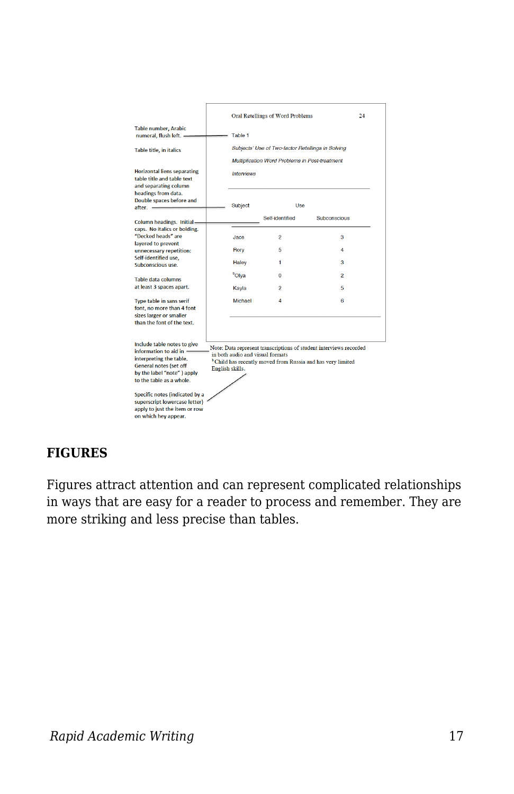|                                                                                                                                                                                                                                                                                                                                                                                                                                                                                                            |  | Oral Retellings of Word Problems<br>24            |                 |                |  |  |
|------------------------------------------------------------------------------------------------------------------------------------------------------------------------------------------------------------------------------------------------------------------------------------------------------------------------------------------------------------------------------------------------------------------------------------------------------------------------------------------------------------|--|---------------------------------------------------|-----------------|----------------|--|--|
| <b>Table number, Arabic</b><br>numeral, flush left. -                                                                                                                                                                                                                                                                                                                                                                                                                                                      |  | Table 1                                           |                 |                |  |  |
| Table title, in italics                                                                                                                                                                                                                                                                                                                                                                                                                                                                                    |  | Subjects' Use of Two-factor Retellings in Solving |                 |                |  |  |
|                                                                                                                                                                                                                                                                                                                                                                                                                                                                                                            |  | Multiplication Word Problems in Post-treatment    |                 |                |  |  |
| <b>Horizontal liens separating</b><br>table title and table text<br>and separating column                                                                                                                                                                                                                                                                                                                                                                                                                  |  | <b>Interviews</b>                                 |                 |                |  |  |
| headings from data.<br>Double spaces before and<br>after. -                                                                                                                                                                                                                                                                                                                                                                                                                                                |  | <b>Subject</b>                                    | Use             |                |  |  |
| <b>Column headings. Initial-</b>                                                                                                                                                                                                                                                                                                                                                                                                                                                                           |  |                                                   | Self-identified | Subconscious   |  |  |
| caps. No italics or bolding.<br>"Decked heads" are<br>lavered to prevent<br>unnecessary repetition:<br>Self-identified use,<br>Subconscious use.                                                                                                                                                                                                                                                                                                                                                           |  | Jace                                              | 2               | 3              |  |  |
|                                                                                                                                                                                                                                                                                                                                                                                                                                                                                                            |  | Rory                                              | 5               | 4              |  |  |
|                                                                                                                                                                                                                                                                                                                                                                                                                                                                                                            |  | Haley                                             | 1               | 3              |  |  |
| <b>Table data columns</b><br>at least 3 spaces apart.                                                                                                                                                                                                                                                                                                                                                                                                                                                      |  | <sup>b</sup> Olya                                 | $\overline{0}$  | $\overline{a}$ |  |  |
|                                                                                                                                                                                                                                                                                                                                                                                                                                                                                                            |  | Kayla                                             | 2               | 5              |  |  |
| <b>Type table in sans serif</b><br>font, no more than 4 font<br>sizes larger or smaller<br>than the font of the text.                                                                                                                                                                                                                                                                                                                                                                                      |  | Michael                                           | 4               | 6              |  |  |
| Include table notes to give<br>Note: Data represent transcriptions of student interviews recorded<br>information to aid in $=$<br>in both audio and visual formats<br>interpreting the table.<br><sup>b</sup> Child has recently moved from Russia and has very limited<br>General notes (set off<br>English skills.<br>by the label "note") apply<br>to the table as a whole.<br>Specific notes (indicated by a<br>superscript lowercase letter)<br>apply to just the item or row<br>on which hey appear. |  |                                                   |                 |                |  |  |

#### **FIGURES**

Figures attract attention and can represent complicated relationships in ways that are easy for a reader to process and remember. They are more striking and less precise than tables.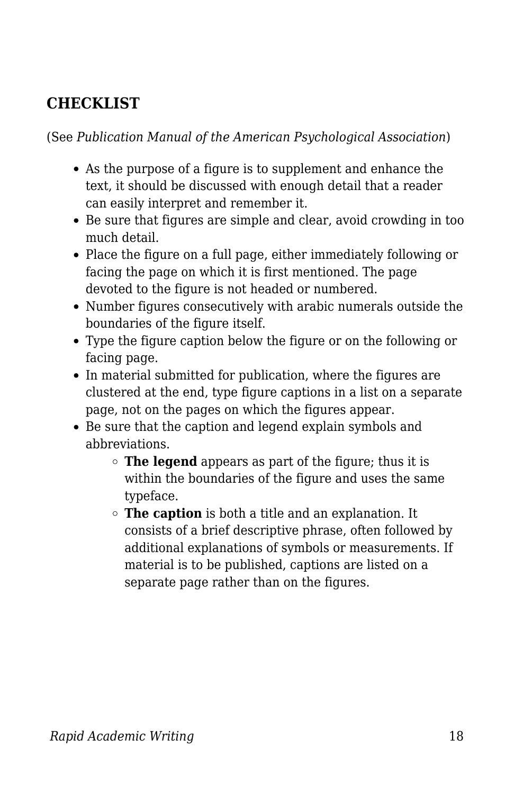## **CHECKLIST**

(See *Publication Manual of the American Psychological Association*)

- As the purpose of a figure is to supplement and enhance the text, it should be discussed with enough detail that a reader can easily interpret and remember it.
- Be sure that figures are simple and clear, avoid crowding in too much detail.
- Place the figure on a full page, either immediately following or facing the page on which it is first mentioned. The page devoted to the figure is not headed or numbered.
- Number figures consecutively with arabic numerals outside the boundaries of the figure itself.
- Type the figure caption below the figure or on the following or facing page.
- In material submitted for publication, where the figures are clustered at the end, type figure captions in a list on a separate page, not on the pages on which the figures appear.
- Be sure that the caption and legend explain symbols and abbreviations.
	- **The legend** appears as part of the figure; thus it is within the boundaries of the figure and uses the same typeface.
	- **The caption** is both a title and an explanation. It consists of a brief descriptive phrase, often followed by additional explanations of symbols or measurements. If material is to be published, captions are listed on a separate page rather than on the figures.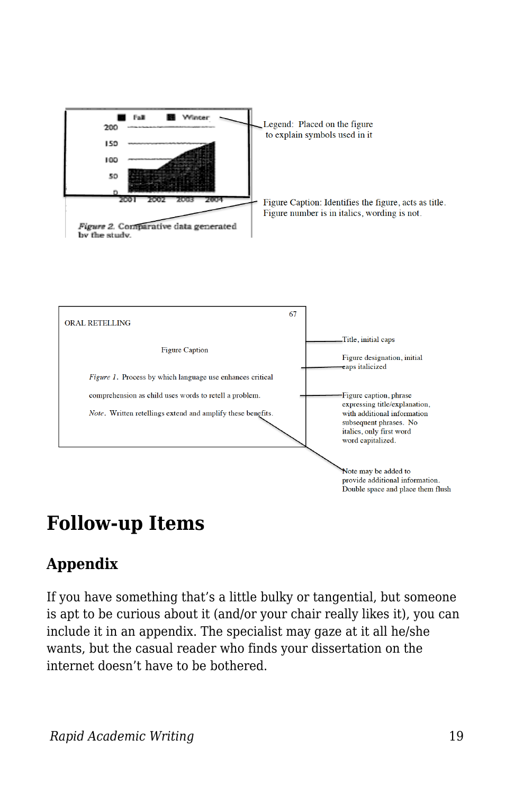



# **Follow-up Items**

# **Appendix**

If you have something that's a little bulky or tangential, but someone is apt to be curious about it (and/or your chair really likes it), you can include it in an appendix. The specialist may gaze at it all he/she wants, but the casual reader who finds your dissertation on the internet doesn't have to be bothered.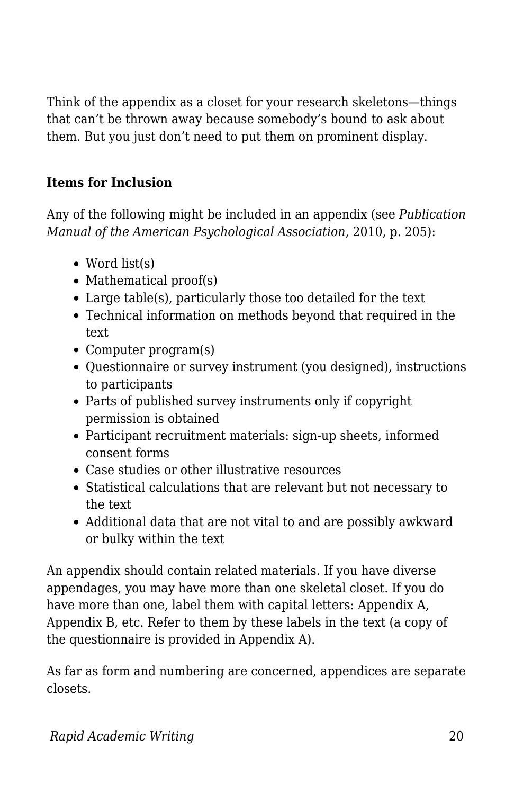Think of the appendix as a closet for your research skeletons—things that can't be thrown away because somebody's bound to ask about them. But you just don't need to put them on prominent display.

#### **Items for Inclusion**

Any of the following might be included in an appendix (see *Publication Manual of the American Psychological Association*, 2010, p. 205):

- Word list(s)
- $\bullet$  Mathematical proof(s)
- Large table(s), particularly those too detailed for the text
- Technical information on methods beyond that required in the text
- Computer program(s)
- Questionnaire or survey instrument (you designed), instructions to participants
- Parts of published survey instruments only if copyright permission is obtained
- Participant recruitment materials: sign-up sheets, informed consent forms
- Case studies or other illustrative resources
- Statistical calculations that are relevant but not necessary to the text
- Additional data that are not vital to and are possibly awkward or bulky within the text

An appendix should contain related materials. If you have diverse appendages, you may have more than one skeletal closet. If you do have more than one, label them with capital letters: Appendix A, Appendix B, etc. Refer to them by these labels in the text (a copy of the questionnaire is provided in Appendix A).

As far as form and numbering are concerned, appendices are separate closets.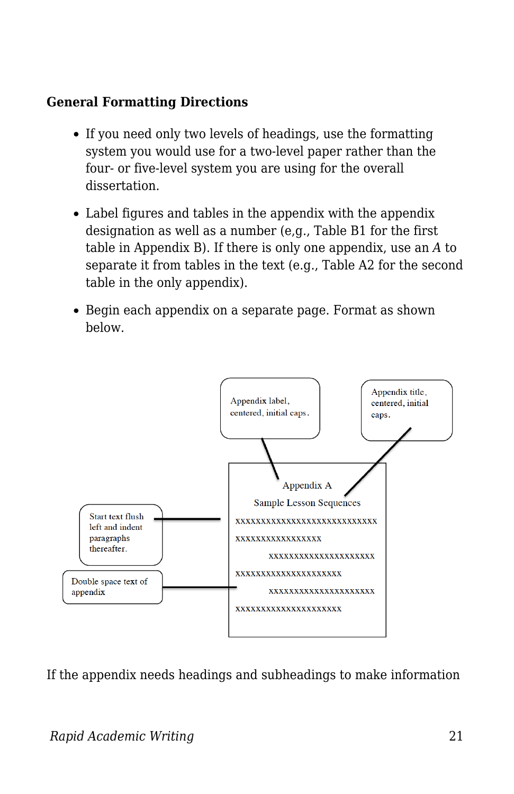#### **General Formatting Directions**

- If you need only two levels of headings, use the formatting system you would use for a two-level paper rather than the four- or five-level system you are using for the overall dissertation.
- Label figures and tables in the appendix with the appendix designation as well as a number (e,g., Table B1 for the first table in Appendix B). If there is only one appendix, use an *A* to separate it from tables in the text (e.g., Table A2 for the second table in the only appendix).
- Begin each appendix on a separate page. Format as shown below.



If the appendix needs headings and subheadings to make information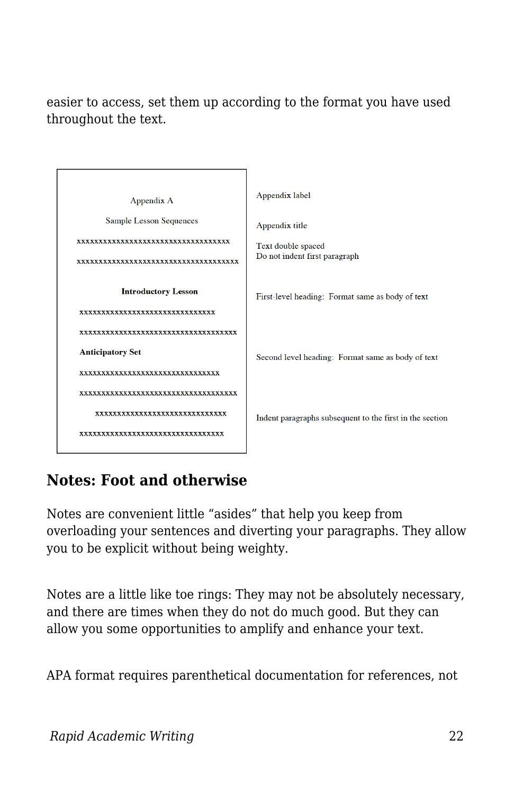easier to access, set them up according to the format you have used throughout the text.



# **Notes: Foot and otherwise**

Notes are convenient little "asides" that help you keep from overloading your sentences and diverting your paragraphs. They allow you to be explicit without being weighty.

Notes are a little like toe rings: They may not be absolutely necessary, and there are times when they do not do much good. But they can allow you some opportunities to amplify and enhance your text.

APA format requires parenthetical documentation for references, not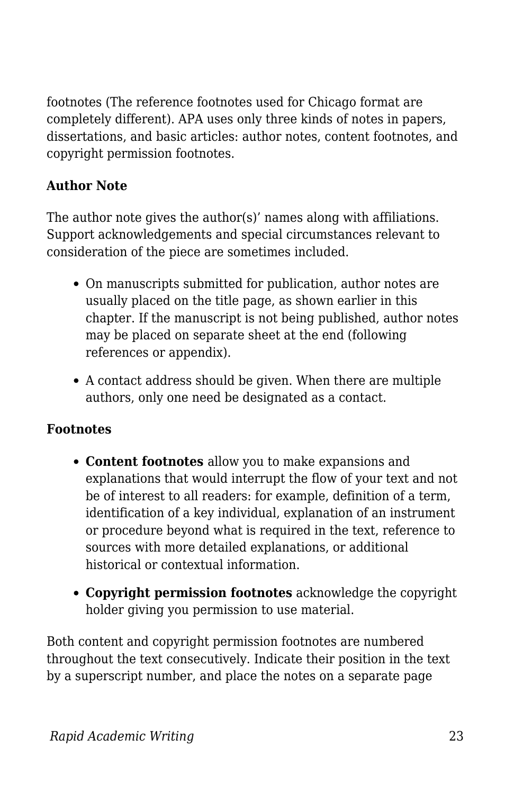footnotes (The reference footnotes used for Chicago format are completely different). APA uses only three kinds of notes in papers, dissertations, and basic articles: author notes, content footnotes, and copyright permission footnotes.

#### **Author Note**

The author note gives the author(s)' names along with affiliations. Support acknowledgements and special circumstances relevant to consideration of the piece are sometimes included.

- On manuscripts submitted for publication, author notes are usually placed on the title page, as shown earlier in this chapter. If the manuscript is not being published, author notes may be placed on separate sheet at the end (following references or appendix).
- A contact address should be given. When there are multiple authors, only one need be designated as a contact.

#### **Footnotes**

- **Content footnotes** allow you to make expansions and explanations that would interrupt the flow of your text and not be of interest to all readers: for example, definition of a term, identification of a key individual, explanation of an instrument or procedure beyond what is required in the text, reference to sources with more detailed explanations, or additional historical or contextual information.
- **Copyright permission footnotes** acknowledge the copyright holder giving you permission to use material.

Both content and copyright permission footnotes are numbered throughout the text consecutively. Indicate their position in the text by a superscript number, and place the notes on a separate page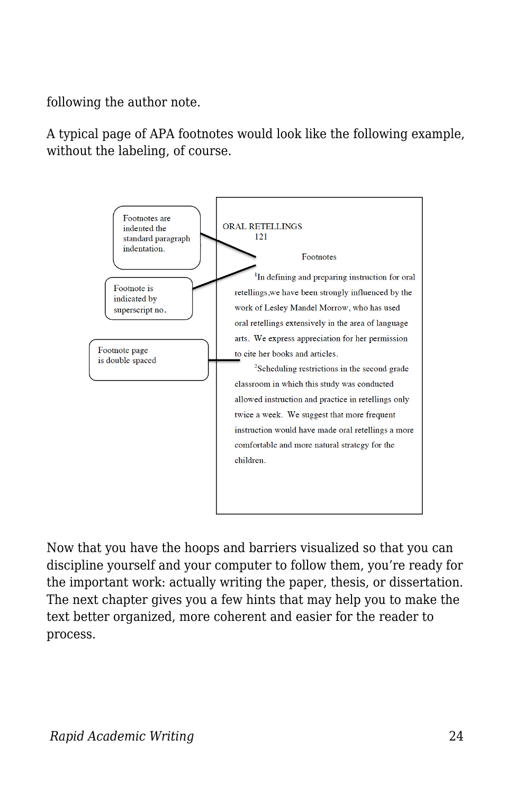following the author note.

A typical page of APA footnotes would look like the following example, without the labeling, of course.



Now that you have the hoops and barriers visualized so that you can discipline yourself and your computer to follow them, you're ready for the important work: actually writing the paper, thesis, or dissertation. The next chapter gives you a few hints that may help you to make the text better organized, more coherent and easier for the reader to process.